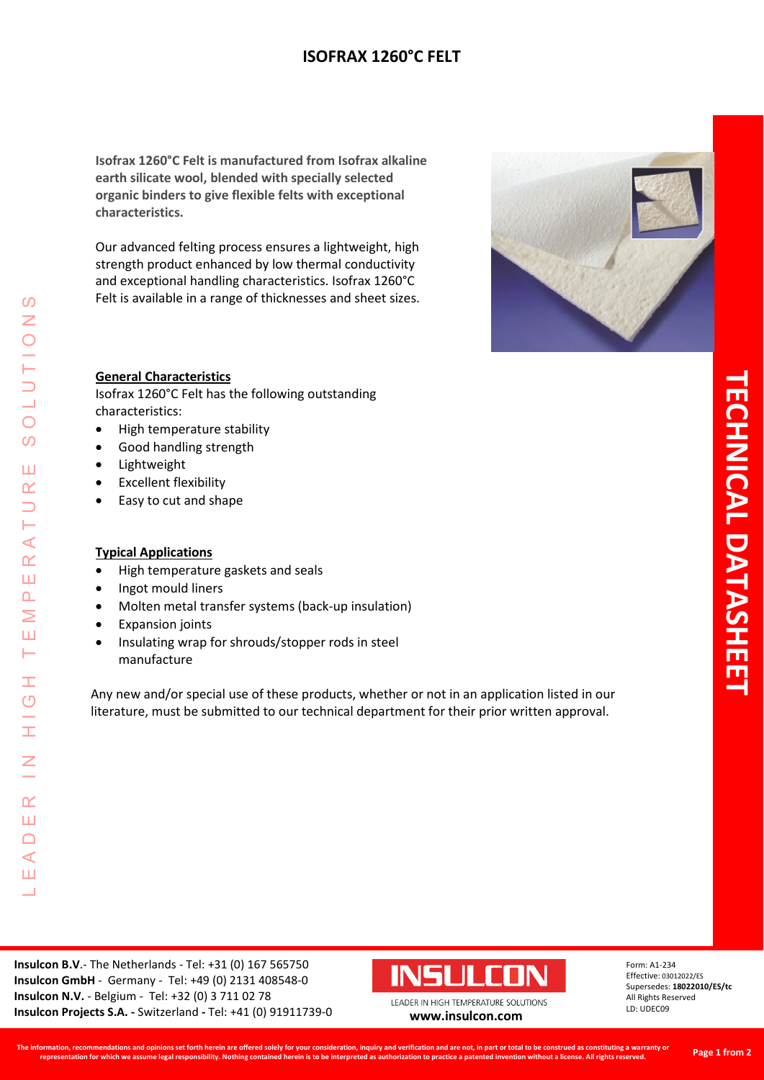# **ISOFRAX 1260°C FELT**

**Isofrax 1260°C Felt is manufactured from Isofrax alkaline earth silicate wool, blended with specially selected organic binders to give flexible felts with exceptional characteristics.** 

Our advanced felting process ensures a lightweight, high strength product enhanced by low thermal conductivity and exceptional handling characteristics. Isofrax 1260°C Felt is available in a range of thicknesses and sheet sizes.



#### **General Characteristics**

Isofrax 1260°C Felt has the following outstanding characteristics:

- High temperature stability
- Good handling strength
- Lightweight
- Excellent flexibility
- Easy to cut and shape

#### **Typical Applications**

- High temperature gaskets and seals
- Ingot mould liners

LEADER IN HIGH TEMPERATURE SOLUTIONS

Ŧ  $\overline{O}$ 

Ŧ

 $\overline{z}$ 

 $\alpha$ Ш  $\Box$  $\triangleleft$ Ш  $\Box$ 

 $\mathcal{O}$  $\overline{z}$ 

 $\bigcirc$  $\boldsymbol{\omega}$ 

Ш  $\alpha$  $\overline{\phantom{0}}$ H  $\prec$  $\underline{\alpha}$ Ш  $\Delta$ Σ Ш Н

- Molten metal transfer systems (back-up insulation)
- Expansion joints
- Insulating wrap for shrouds/stopper rods in steel manufacture

Any new and/or special use of these products, whether or not in an application listed in our literature, must be submitted to our technical department for their prior written approval.



Form: A1-234 Effective: 03012022/ES Supersedes: **18022010/ES/tc** All Rights Reserved LD: UDEC09